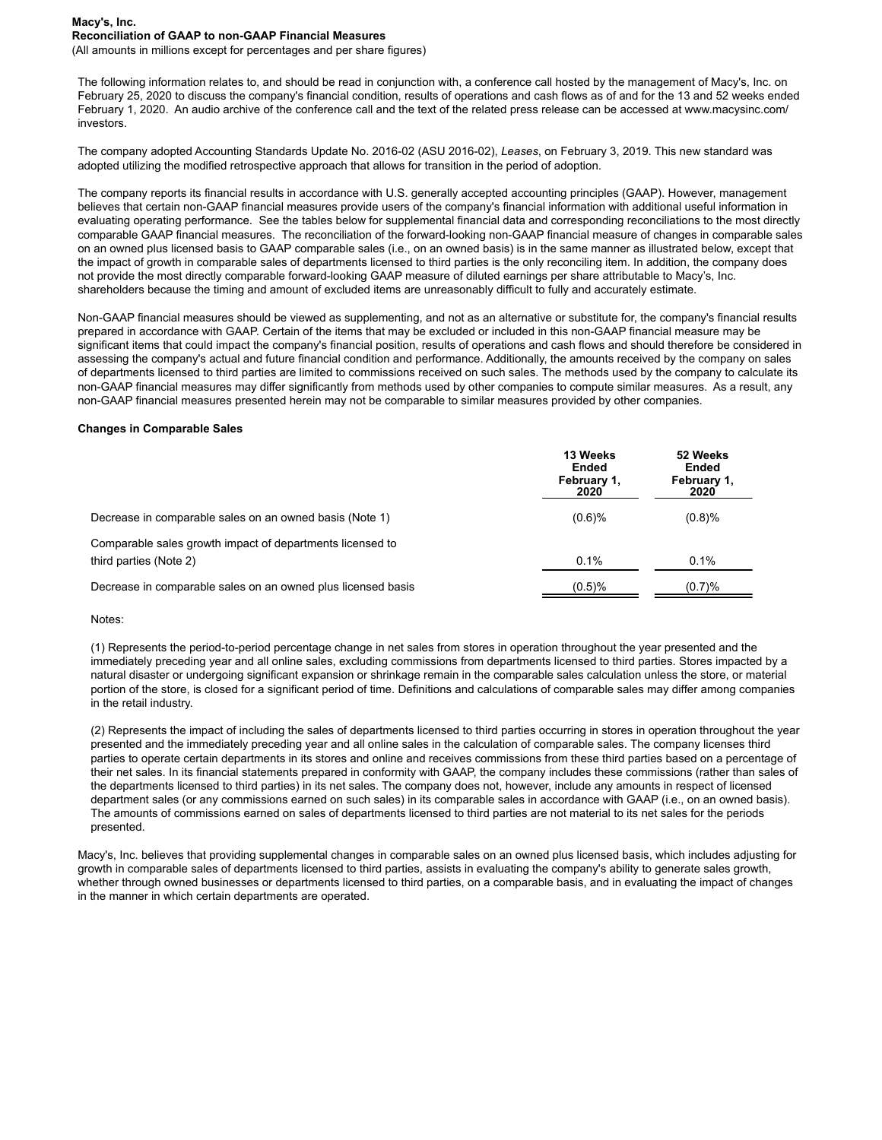### **Macy's, Inc. Reconciliation of GAAP to non-GAAP Financial Measures**

(All amounts in millions except for percentages and per share figures)

The following information relates to, and should be read in conjunction with, a conference call hosted by the management of Macy's, Inc. on February 25, 2020 to discuss the company's financial condition, results of operations and cash flows as of and for the 13 and 52 weeks ended February 1, 2020. An audio archive of the conference call and the text of the related press release can be accessed at www.macysinc.com/ investors.

The company adopted Accounting Standards Update No. 2016-02 (ASU 2016-02), *Leases*, on February 3, 2019. This new standard was adopted utilizing the modified retrospective approach that allows for transition in the period of adoption.

The company reports its financial results in accordance with U.S. generally accepted accounting principles (GAAP). However, management believes that certain non-GAAP financial measures provide users of the company's financial information with additional useful information in evaluating operating performance. See the tables below for supplemental financial data and corresponding reconciliations to the most directly comparable GAAP financial measures. The reconciliation of the forward-looking non-GAAP financial measure of changes in comparable sales on an owned plus licensed basis to GAAP comparable sales (i.e., on an owned basis) is in the same manner as illustrated below, except that the impact of growth in comparable sales of departments licensed to third parties is the only reconciling item. In addition, the company does not provide the most directly comparable forward-looking GAAP measure of diluted earnings per share attributable to Macy's, Inc. shareholders because the timing and amount of excluded items are unreasonably difficult to fully and accurately estimate.

Non-GAAP financial measures should be viewed as supplementing, and not as an alternative or substitute for, the company's financial results prepared in accordance with GAAP. Certain of the items that may be excluded or included in this non-GAAP financial measure may be significant items that could impact the company's financial position, results of operations and cash flows and should therefore be considered in assessing the company's actual and future financial condition and performance. Additionally, the amounts received by the company on sales of departments licensed to third parties are limited to commissions received on such sales. The methods used by the company to calculate its non-GAAP financial measures may differ significantly from methods used by other companies to compute similar measures. As a result, any non-GAAP financial measures presented herein may not be comparable to similar measures provided by other companies.

#### **Changes in Comparable Sales**

|                                                              | 13 Weeks<br>Ended<br>February 1,<br>2020 | 52 Weeks<br>Ended<br>February 1.<br>2020 |
|--------------------------------------------------------------|------------------------------------------|------------------------------------------|
| Decrease in comparable sales on an owned basis (Note 1)      | (0.6)%                                   | (0.8)%                                   |
| Comparable sales growth impact of departments licensed to    |                                          |                                          |
| third parties (Note 2)                                       | 0.1%                                     | 0.1%                                     |
| Decrease in comparable sales on an owned plus licensed basis | (0.5)%                                   | (0.7)%                                   |

#### Notes:

(1) Represents the period-to-period percentage change in net sales from stores in operation throughout the year presented and the immediately preceding year and all online sales, excluding commissions from departments licensed to third parties. Stores impacted by a natural disaster or undergoing significant expansion or shrinkage remain in the comparable sales calculation unless the store, or material portion of the store, is closed for a significant period of time. Definitions and calculations of comparable sales may differ among companies in the retail industry.

(2) Represents the impact of including the sales of departments licensed to third parties occurring in stores in operation throughout the year presented and the immediately preceding year and all online sales in the calculation of comparable sales. The company licenses third parties to operate certain departments in its stores and online and receives commissions from these third parties based on a percentage of their net sales. In its financial statements prepared in conformity with GAAP, the company includes these commissions (rather than sales of the departments licensed to third parties) in its net sales. The company does not, however, include any amounts in respect of licensed department sales (or any commissions earned on such sales) in its comparable sales in accordance with GAAP (i.e., on an owned basis). The amounts of commissions earned on sales of departments licensed to third parties are not material to its net sales for the periods presented.

Macy's, Inc. believes that providing supplemental changes in comparable sales on an owned plus licensed basis, which includes adjusting for growth in comparable sales of departments licensed to third parties, assists in evaluating the company's ability to generate sales growth, whether through owned businesses or departments licensed to third parties, on a comparable basis, and in evaluating the impact of changes in the manner in which certain departments are operated.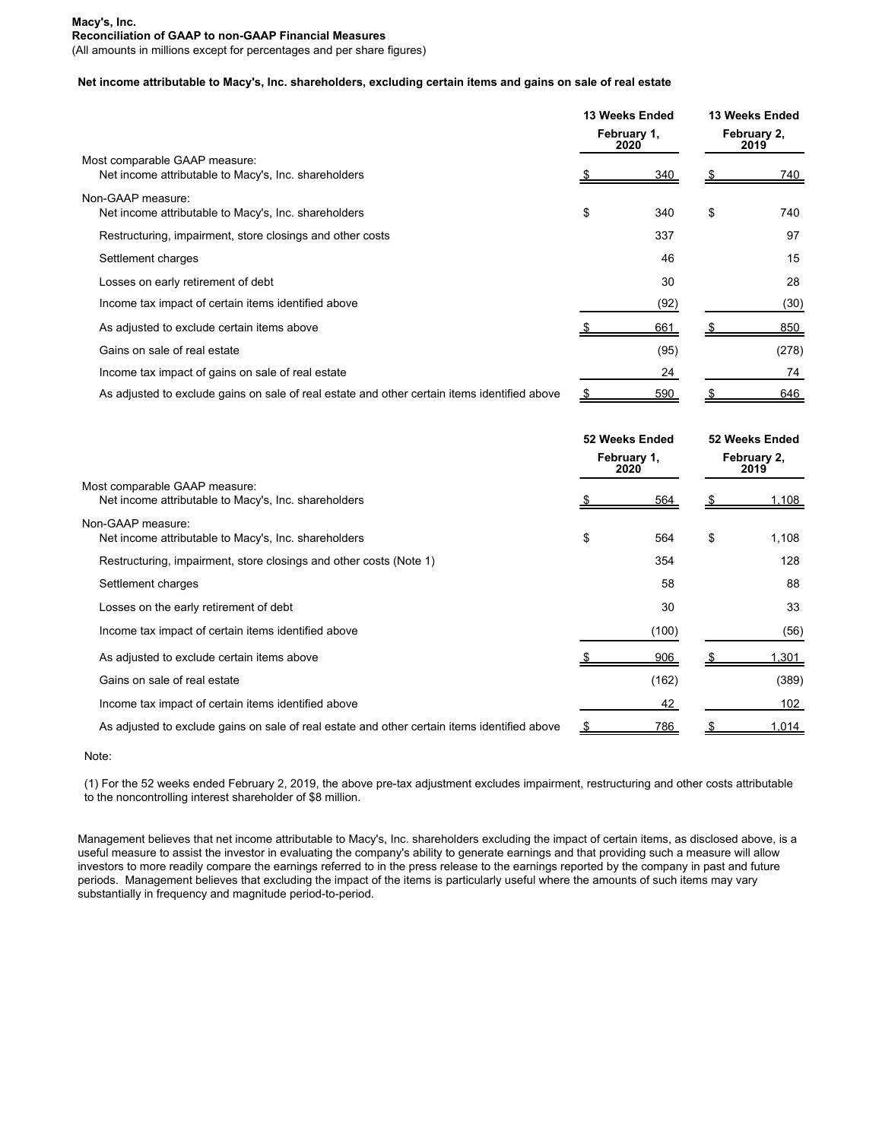## **Macy's, Inc. Reconciliation of GAAP to non-GAAP Financial Measures**

(All amounts in millions except for percentages and per share figures)

## **Net income attributable to Macy's, Inc. shareholders, excluding certain items and gains on sale of real estate**

| Most comparable GAAP measure:<br>Net income attributable to Macy's, Inc. shareholders        |     | 13 Weeks Ended<br>February 1,<br>2020 |    | 13 Weeks Ended<br>February 2,<br>2019 |  |
|----------------------------------------------------------------------------------------------|-----|---------------------------------------|----|---------------------------------------|--|
|                                                                                              |     | 340                                   |    | <u>740 </u>                           |  |
| Non-GAAP measure:<br>Net income attributable to Macy's, Inc. shareholders                    | \$  | 340                                   | \$ | 740                                   |  |
| Restructuring, impairment, store closings and other costs                                    |     | 337                                   |    | 97                                    |  |
| Settlement charges                                                                           |     | 46                                    |    | 15                                    |  |
| Losses on early retirement of debt                                                           |     | 30                                    |    | 28                                    |  |
| Income tax impact of certain items identified above                                          |     | (92)                                  |    | (30)                                  |  |
| As adjusted to exclude certain items above                                                   |     | 661                                   |    | 850                                   |  |
| Gains on sale of real estate                                                                 |     | (95)                                  |    | (278)                                 |  |
| Income tax impact of gains on sale of real estate                                            |     | 24                                    |    | 74                                    |  |
| As adjusted to exclude gains on sale of real estate and other certain items identified above | - 5 | 590                                   |    | 646                                   |  |

| Most comparable GAAP measure:<br>Net income attributable to Macy's, Inc. shareholders        |    | 52 Weeks Ended<br>February 1,<br>2020 |    | 52 Weeks Ended<br>February 2,<br>2019 |  |
|----------------------------------------------------------------------------------------------|----|---------------------------------------|----|---------------------------------------|--|
|                                                                                              |    | <u>564</u>                            |    | <u>.108.</u>                          |  |
| Non-GAAP measure:<br>Net income attributable to Macy's, Inc. shareholders                    | \$ | 564                                   | \$ | 1,108                                 |  |
| Restructuring, impairment, store closings and other costs (Note 1)                           |    | 354                                   |    | 128                                   |  |
| Settlement charges                                                                           |    | 58                                    |    | 88                                    |  |
| Losses on the early retirement of debt                                                       |    | 30                                    |    | 33                                    |  |
| Income tax impact of certain items identified above                                          |    | (100)                                 |    | (56)                                  |  |
| As adjusted to exclude certain items above                                                   |    | 906                                   |    | .301                                  |  |
| Gains on sale of real estate                                                                 |    | (162)                                 |    | (389)                                 |  |
| Income tax impact of certain items identified above                                          |    | 42                                    |    | 102                                   |  |
| As adjusted to exclude gains on sale of real estate and other certain items identified above |    | 786                                   |    | <u> 1.014 </u>                        |  |

Note:

(1) For the 52 weeks ended February 2, 2019, the above pre-tax adjustment excludes impairment, restructuring and other costs attributable to the noncontrolling interest shareholder of \$8 million.

Management believes that net income attributable to Macy's, Inc. shareholders excluding the impact of certain items, as disclosed above, is a useful measure to assist the investor in evaluating the company's ability to generate earnings and that providing such a measure will allow investors to more readily compare the earnings referred to in the press release to the earnings reported by the company in past and future periods. Management believes that excluding the impact of the items is particularly useful where the amounts of such items may vary substantially in frequency and magnitude period-to-period.